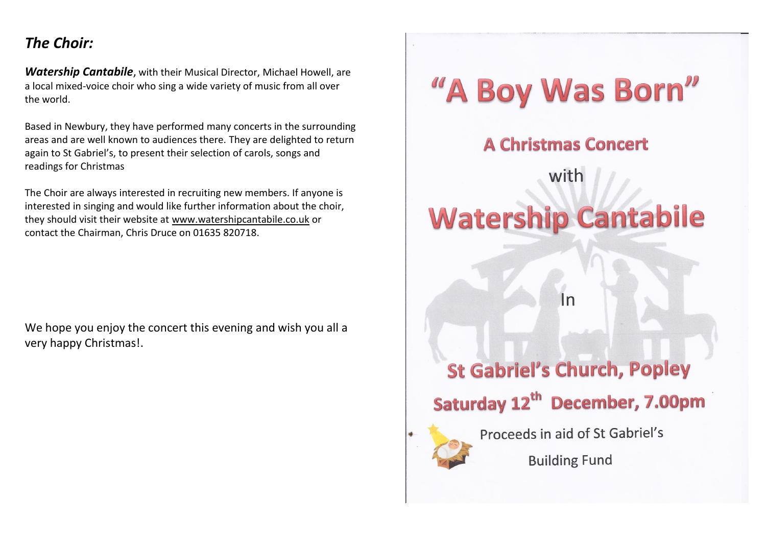## *The Choir:*

*Watership Cantabile*, with their Musical Director, Michael Howell, are a local mixed-voice choir who sing a wide variety of music from all over the world.

Based in Newbury, they have performed many concerts in the surrounding areas and are well known to audiences there. They are delighted to return again to St Gabriel's, to present their selection of carols, songs and readings for Christmas

The Choir are always interested in recruiting new members. If anyone is interested in singing and would like further information about the choir, they should visit their website at [www.watershipcantabile.co.uk](http://www.watershipcantabile.co.uk/) or contact the Chairman, Chris Druce on 01635 820718.

We hope you enjoy the concert this evening and wish you all a very happy Christmas!.